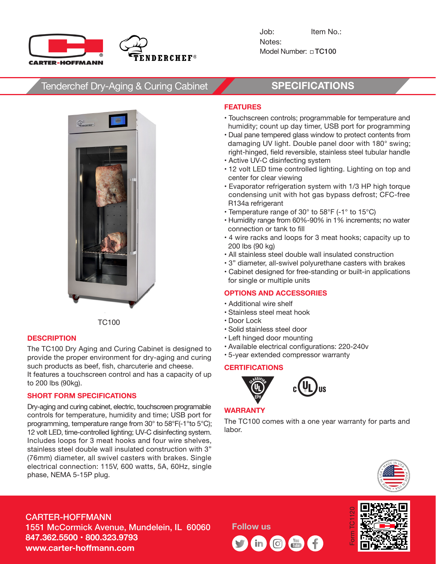



Job: Item No.: Notes: Model Number:TC100

## Tenderchef Dry-Aging & Curing Cabinet **SPECIFICATIONS**



TC100

### **DESCRIPTION**

The TC100 Dry Aging and Curing Cabinet is designed to provide the proper environment for dry-aging and curing such products as beef, fish, charcuterie and cheese. It features a touchscreen control and has a capacity of up to 200 lbs (90kg).

### **SHORT FORM SPECIFICATIONS**

Dry-aging and curing cabinet, electric, touchscreen programable controls for temperature, humidity and time; USB port for programming, temperature range from 30° to 58°F(-1°to 5°C); 12 volt LED, time-controlled lighting; UV-C disinfecting system. Includes loops for 3 meat hooks and four wire shelves, stainless steel double wall insulated construction with 3" (76mm) diameter, all swivel casters with brakes. Single electrical connection: 115V, 600 watts, 5A, 60Hz, single phase, NEMA 5-15P plug.

#### **FEATURES**

- Touchscreen controls; programmable for temperature and humidity; count up day timer, USB port for programming
- Dual pane tempered glass window to protect contents from damaging UV light. Double panel door with 180° swing; right-hinged, field reversible, stainless steel tubular handle
- Active UV-C disinfecting system
- 12 volt LED time controlled lighting. Lighting on top and center for clear viewing
- Evaporator refrigeration system with 1/3 HP high torque condensing unit with hot gas bypass defrost; CFC-free R134a refrigerant
- Temperature range of 30° to 58°F (-1° to 15°C)
- Humidity range from 60%-90% in 1% increments; no water connection or tank to fill
- 4 wire racks and loops for 3 meat hooks; capacity up to 200 lbs (90 kg)
- All stainless steel double wall insulated construction
- 3" diameter, all-swivel polyurethane casters with brakes
- Cabinet designed for free-standing or built-in applications for single or multiple units

#### **OPTIONS AND ACCESSORIES**

- Additional wire shelf
- Stainless steel meat hook
- Door Lock
- Solid stainless steel door
- Left hinged door mounting
- Available electrical configurations: 220-240v
- 5-year extended compressor warranty

#### **CERTIFICATIONS**





#### **WARRANTY**

The TC100 comes with a one year warranty for parts and labor.



## CARTER-HOFFMANN 1551 McCormick Avenue, Mundelein, IL 60060 **847.362.5500 • 800.323.9793 www.carter-hoffmann.com**